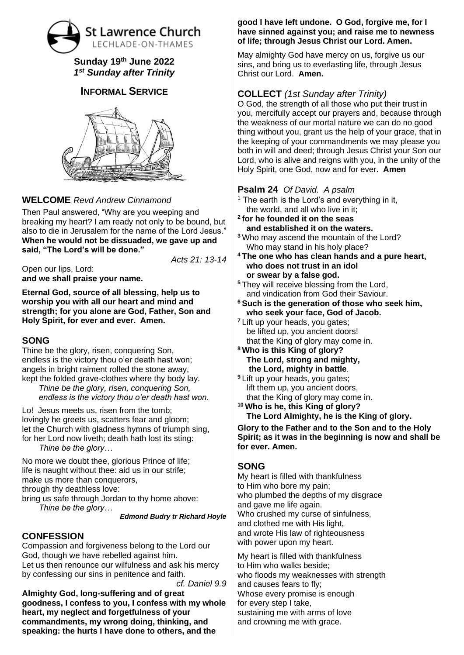# **St Lawrence Church** LECHLADE-ON-THAMES

#### **Sunday 19 th June 2022** *1 st Sunday after Trinity*

## **INFORMAL SERVICE**



## **WELCOME** *Revd Andrew Cinnamond*

Then Paul answered, "Why are you weeping and breaking my heart? I am ready not only to be bound, but also to die in Jerusalem for the name of the Lord Jesus." **When he would not be dissuaded, we gave up and said, "The Lord's will be done."**

*Acts 21: 13-14*

Open our lips, Lord: **and we shall praise your name.**

**Eternal God, source of all blessing, help us to worship you with all our heart and mind and strength; for you alone are God, Father, Son and Holy Spirit, for ever and ever. Amen.**

#### **SONG**

Thine be the glory, risen, conquering Son, endless is the victory thou o'er death hast won; angels in bright raiment rolled the stone away, kept the folded grave-clothes where thy body lay.

*Thine be the glory, risen, conquering Son, endless is the victory thou o'er death hast won.*

Lo! Jesus meets us, risen from the tomb; lovingly he greets us, scatters fear and gloom; let the Church with gladness hymns of triumph sing, for her Lord now liveth; death hath lost its sting: *Thine be the glory…*

No more we doubt thee, glorious Prince of life; life is naught without thee: aid us in our strife; make us more than conquerors, through thy deathless love: bring us safe through Jordan to thy home above: *Thine be the glory…*

*Edmond Budry tr Richard Hoyle*

#### **CONFESSION**

Compassion and forgiveness belong to the Lord our God, though we have rebelled against him. Let us then renounce our wilfulness and ask his mercy by confessing our sins in penitence and faith.

*cf. Daniel 9.9* **Almighty God, long-suffering and of great goodness, I confess to you, I confess with my whole heart, my neglect and forgetfulness of your commandments, my wrong doing, thinking, and speaking: the hurts I have done to others, and the** 

#### **good I have left undone. O God, forgive me, for I have sinned against you; and raise me to newness of life; through Jesus Christ our Lord. Amen.**

May almighty God have mercy on us, forgive us our sins, and bring us to everlasting life, through Jesus Christ our Lord. **Amen.**

# **COLLECT** *(1st Sunday after Trinity)*

O God, the strength of all those who put their trust in you, mercifully accept our prayers and, because through the weakness of our mortal nature we can do no good thing without you, grant us the help of your grace, that in the keeping of your commandments we may please you both in will and deed; through Jesus Christ your Son our Lord, who is alive and reigns with you, in the unity of the Holy Spirit, one God, now and for ever. **Amen**

## **Psalm 24** *Of David. A psalm*

- The earth is the Lord's and everything in it, the world, and all who live in it;
- **2 for he founded it on the seas and established it on the waters.**
- **<sup>3</sup>** Who may ascend the mountain of the Lord? Who may stand in his holy place?
- **<sup>4</sup> The one who has clean hands and a pure heart, who does not trust in an idol or swear by a false god.**
- **<sup>5</sup>** They will receive blessing from the Lord, and vindication from God their Saviour.
- **<sup>6</sup> Such is the generation of those who seek him, who seek your face, God of Jacob.**
- **<sup>7</sup>** Lift up your heads, you gates; be lifted up, you ancient doors! that the King of glory may come in.
- **<sup>8</sup> Who is this King of glory? The Lord, strong and mighty, the Lord, mighty in battle**.
- **<sup>9</sup>** Lift up your heads, you gates; lift them up, you ancient doors, that the King of glory may come in.
- **<sup>10</sup> Who is he, this King of glory? The Lord Almighty, he is the King of glory.**

**Glory to the Father and to the Son and to the Holy Spirit; as it was in the beginning is now and shall be for ever. Amen.**

## **SONG**

My heart is filled with thankfulness to Him who bore my pain; who plumbed the depths of my disgrace and gave me life again. Who crushed my curse of sinfulness, and clothed me with His light, and wrote His law of righteousness with power upon my heart.

My heart is filled with thankfulness to Him who walks beside; who floods my weaknesses with strength and causes fears to fly; Whose every promise is enough for every step I take, sustaining me with arms of love and crowning me with grace.